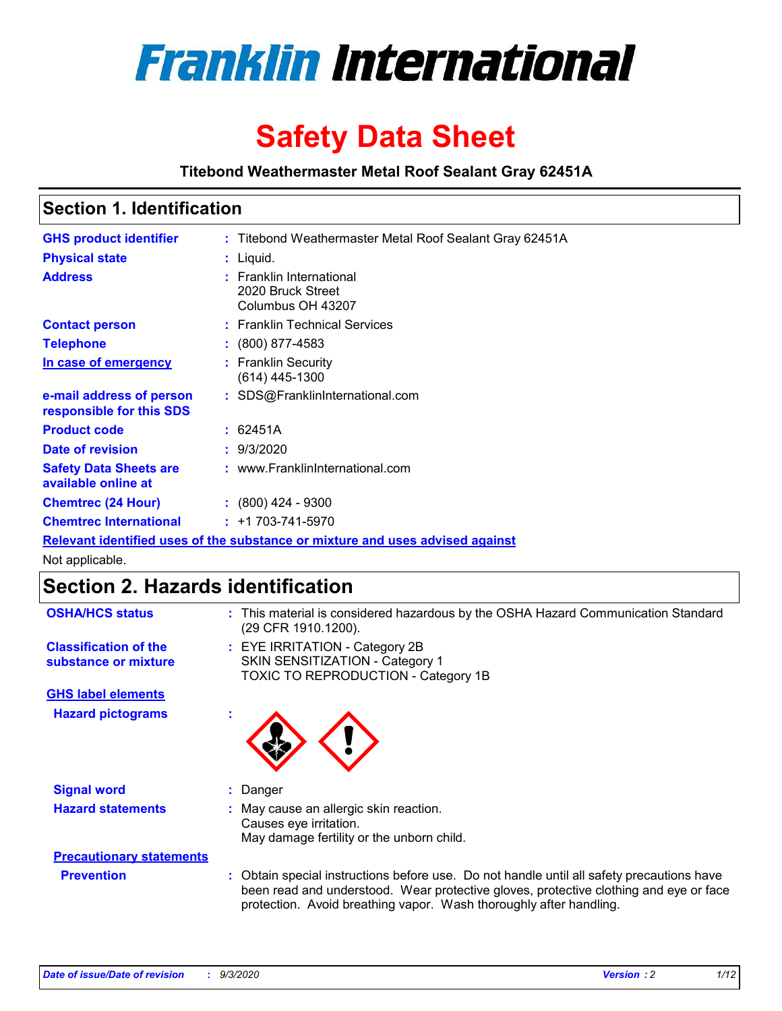

# **Safety Data Sheet**

**Titebond Weathermaster Metal Roof Sealant Gray 62451A**

### **Section 1. Identification**

| <b>GHS product identifier</b>                                                 |  | : Titebond Weathermaster Metal Roof Sealant Gray 62451A            |  |  |
|-------------------------------------------------------------------------------|--|--------------------------------------------------------------------|--|--|
| <b>Physical state</b>                                                         |  | : Liquid.                                                          |  |  |
| <b>Address</b>                                                                |  | : Franklin International<br>2020 Bruck Street<br>Columbus OH 43207 |  |  |
| <b>Contact person</b>                                                         |  | : Franklin Technical Services                                      |  |  |
| <b>Telephone</b>                                                              |  | $\div$ (800) 877-4583                                              |  |  |
| In case of emergency                                                          |  | : Franklin Security<br>(614) 445-1300                              |  |  |
| e-mail address of person<br>responsible for this SDS                          |  | : SDS@FranklinInternational.com                                    |  |  |
| <b>Product code</b>                                                           |  | : 62451A                                                           |  |  |
| Date of revision                                                              |  | : 9/3/2020                                                         |  |  |
| <b>Safety Data Sheets are</b><br>available online at                          |  | : www.FranklinInternational.com                                    |  |  |
| <b>Chemtrec (24 Hour)</b>                                                     |  | $: (800)$ 424 - 9300                                               |  |  |
| <b>Chemtrec International</b>                                                 |  | $: +1703 - 741 - 5970$                                             |  |  |
| Relevant identified uses of the substance or mixture and uses advised against |  |                                                                    |  |  |

Not applicable.

### **Section 2. Hazards identification**

| <b>OSHA/HCS status</b>                               |    | : This material is considered hazardous by the OSHA Hazard Communication Standard<br>(29 CFR 1910.1200).                                                                                                                                                 |
|------------------------------------------------------|----|----------------------------------------------------------------------------------------------------------------------------------------------------------------------------------------------------------------------------------------------------------|
| <b>Classification of the</b><br>substance or mixture |    | : EYE IRRITATION - Category 2B<br>SKIN SENSITIZATION - Category 1<br>TOXIC TO REPRODUCTION - Category 1B                                                                                                                                                 |
| <b>GHS label elements</b>                            |    |                                                                                                                                                                                                                                                          |
| <b>Hazard pictograms</b>                             | ×. |                                                                                                                                                                                                                                                          |
| <b>Signal word</b>                                   | ÷. | Danger                                                                                                                                                                                                                                                   |
| <b>Hazard statements</b>                             |    | May cause an allergic skin reaction.<br>Causes eye irritation.<br>May damage fertility or the unborn child.                                                                                                                                              |
| <b>Precautionary statements</b>                      |    |                                                                                                                                                                                                                                                          |
| <b>Prevention</b>                                    |    | : Obtain special instructions before use. Do not handle until all safety precautions have<br>been read and understood. Wear protective gloves, protective clothing and eye or face<br>protection. Avoid breathing vapor. Wash thoroughly after handling. |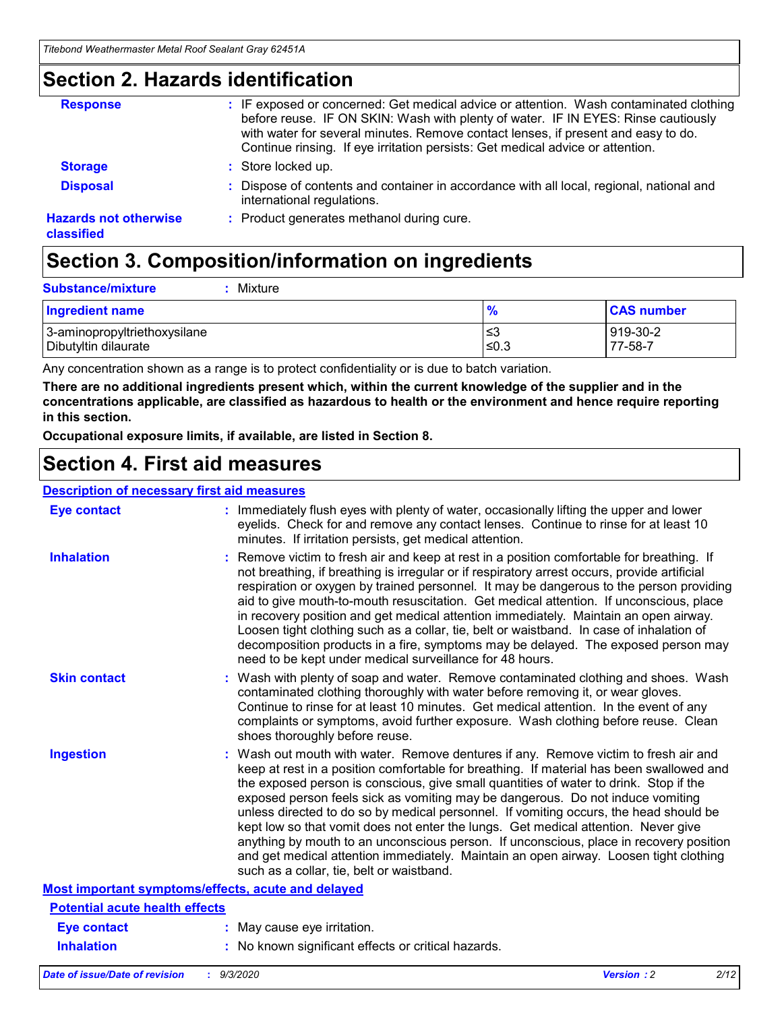### **Section 2. Hazards identification**

| <b>Response</b>                            | : IF exposed or concerned: Get medical advice or attention. Wash contaminated clothing<br>before reuse. IF ON SKIN: Wash with plenty of water. IF IN EYES: Rinse cautiously<br>with water for several minutes. Remove contact lenses, if present and easy to do.<br>Continue rinsing. If eye irritation persists: Get medical advice or attention. |
|--------------------------------------------|----------------------------------------------------------------------------------------------------------------------------------------------------------------------------------------------------------------------------------------------------------------------------------------------------------------------------------------------------|
| <b>Storage</b>                             | : Store locked up.                                                                                                                                                                                                                                                                                                                                 |
| <b>Disposal</b>                            | : Dispose of contents and container in accordance with all local, regional, national and<br>international regulations.                                                                                                                                                                                                                             |
| <b>Hazards not otherwise</b><br>classified | : Product generates methanol during cure.                                                                                                                                                                                                                                                                                                          |

# **Section 3. Composition/information on ingredients**

| <b>Substance/mixture</b> | : Mixture |
|--------------------------|-----------|
|                          |           |

| <b>Ingredient name</b>       | $\mathbf{o}$<br>70 | <b>CAS number</b> |
|------------------------------|--------------------|-------------------|
| 3-aminopropyltriethoxysilane | צ≥                 | 919-30-2          |
| Dibutyltin dilaurate         | ∣≤0.3              | 77-58-7           |

Any concentration shown as a range is to protect confidentiality or is due to batch variation.

**There are no additional ingredients present which, within the current knowledge of the supplier and in the concentrations applicable, are classified as hazardous to health or the environment and hence require reporting in this section.**

**Occupational exposure limits, if available, are listed in Section 8.**

### **Section 4. First aid measures**

| <b>Description of necessary first aid measures</b> |                                                                                                                                                                                                                                                                                                                                                                                                                                                                                                                                                                                                                                                                                                                                                                           |
|----------------------------------------------------|---------------------------------------------------------------------------------------------------------------------------------------------------------------------------------------------------------------------------------------------------------------------------------------------------------------------------------------------------------------------------------------------------------------------------------------------------------------------------------------------------------------------------------------------------------------------------------------------------------------------------------------------------------------------------------------------------------------------------------------------------------------------------|
| <b>Eye contact</b>                                 | : Immediately flush eyes with plenty of water, occasionally lifting the upper and lower<br>eyelids. Check for and remove any contact lenses. Continue to rinse for at least 10<br>minutes. If irritation persists, get medical attention.                                                                                                                                                                                                                                                                                                                                                                                                                                                                                                                                 |
| <b>Inhalation</b>                                  | : Remove victim to fresh air and keep at rest in a position comfortable for breathing. If<br>not breathing, if breathing is irregular or if respiratory arrest occurs, provide artificial<br>respiration or oxygen by trained personnel. It may be dangerous to the person providing<br>aid to give mouth-to-mouth resuscitation. Get medical attention. If unconscious, place<br>in recovery position and get medical attention immediately. Maintain an open airway.<br>Loosen tight clothing such as a collar, tie, belt or waistband. In case of inhalation of<br>decomposition products in a fire, symptoms may be delayed. The exposed person may<br>need to be kept under medical surveillance for 48 hours.                                                       |
| <b>Skin contact</b>                                | : Wash with plenty of soap and water. Remove contaminated clothing and shoes. Wash<br>contaminated clothing thoroughly with water before removing it, or wear gloves.<br>Continue to rinse for at least 10 minutes. Get medical attention. In the event of any<br>complaints or symptoms, avoid further exposure. Wash clothing before reuse. Clean<br>shoes thoroughly before reuse.                                                                                                                                                                                                                                                                                                                                                                                     |
| <b>Ingestion</b>                                   | : Wash out mouth with water. Remove dentures if any. Remove victim to fresh air and<br>keep at rest in a position comfortable for breathing. If material has been swallowed and<br>the exposed person is conscious, give small quantities of water to drink. Stop if the<br>exposed person feels sick as vomiting may be dangerous. Do not induce vomiting<br>unless directed to do so by medical personnel. If vomiting occurs, the head should be<br>kept low so that vomit does not enter the lungs. Get medical attention. Never give<br>anything by mouth to an unconscious person. If unconscious, place in recovery position<br>and get medical attention immediately. Maintain an open airway. Loosen tight clothing<br>such as a collar, tie, belt or waistband. |
| Most important symptoms/effects, acute and delayed |                                                                                                                                                                                                                                                                                                                                                                                                                                                                                                                                                                                                                                                                                                                                                                           |
| <b>Potential acute health effects</b>              |                                                                                                                                                                                                                                                                                                                                                                                                                                                                                                                                                                                                                                                                                                                                                                           |
| Eye contact                                        | : May cause eye irritation.                                                                                                                                                                                                                                                                                                                                                                                                                                                                                                                                                                                                                                                                                                                                               |
| <b>Inhalation</b>                                  | : No known significant effects or critical hazards.                                                                                                                                                                                                                                                                                                                                                                                                                                                                                                                                                                                                                                                                                                                       |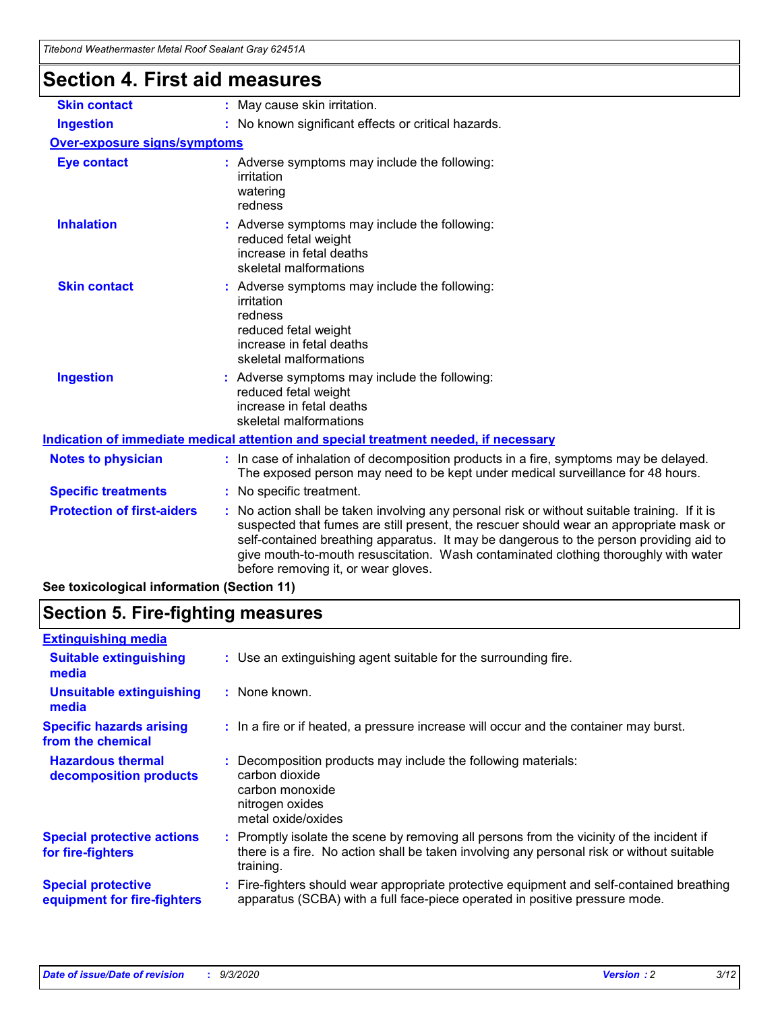| Titebond Weathermaster Metal Roof Sealant Gray 62451A |                                                                                                                                                                                                                                                                                                                                                                                                                 |  |
|-------------------------------------------------------|-----------------------------------------------------------------------------------------------------------------------------------------------------------------------------------------------------------------------------------------------------------------------------------------------------------------------------------------------------------------------------------------------------------------|--|
| <b>Section 4. First aid measures</b>                  |                                                                                                                                                                                                                                                                                                                                                                                                                 |  |
| <b>Skin contact</b>                                   | : May cause skin irritation.                                                                                                                                                                                                                                                                                                                                                                                    |  |
| <b>Ingestion</b>                                      | : No known significant effects or critical hazards.                                                                                                                                                                                                                                                                                                                                                             |  |
| <b>Over-exposure signs/symptoms</b>                   |                                                                                                                                                                                                                                                                                                                                                                                                                 |  |
| <b>Eye contact</b>                                    | : Adverse symptoms may include the following:<br>irritation<br>watering<br>redness                                                                                                                                                                                                                                                                                                                              |  |
| <b>Inhalation</b>                                     | : Adverse symptoms may include the following:<br>reduced fetal weight<br>increase in fetal deaths<br>skeletal malformations                                                                                                                                                                                                                                                                                     |  |
| <b>Skin contact</b>                                   | : Adverse symptoms may include the following:<br>irritation<br>redness<br>reduced fetal weight<br>increase in fetal deaths<br>skeletal malformations                                                                                                                                                                                                                                                            |  |
| <b>Ingestion</b>                                      | : Adverse symptoms may include the following:<br>reduced fetal weight<br>increase in fetal deaths<br>skeletal malformations                                                                                                                                                                                                                                                                                     |  |
|                                                       | Indication of immediate medical attention and special treatment needed, if necessary                                                                                                                                                                                                                                                                                                                            |  |
| <b>Notes to physician</b>                             | : In case of inhalation of decomposition products in a fire, symptoms may be delayed.<br>The exposed person may need to be kept under medical surveillance for 48 hours.                                                                                                                                                                                                                                        |  |
| <b>Specific treatments</b>                            | : No specific treatment.                                                                                                                                                                                                                                                                                                                                                                                        |  |
| <b>Protection of first-aiders</b>                     | : No action shall be taken involving any personal risk or without suitable training. If it is<br>suspected that fumes are still present, the rescuer should wear an appropriate mask or<br>self-contained breathing apparatus. It may be dangerous to the person providing aid to<br>give mouth-to-mouth resuscitation. Wash contaminated clothing thoroughly with water<br>before removing it, or wear gloves. |  |

**See toxicological information (Section 11)**

### **Section 5. Fire-fighting measures**

| <b>Extinguishing media</b>                               |                                                                                                                                                                                                   |
|----------------------------------------------------------|---------------------------------------------------------------------------------------------------------------------------------------------------------------------------------------------------|
| <b>Suitable extinguishing</b><br>media                   | : Use an extinguishing agent suitable for the surrounding fire.                                                                                                                                   |
| <b>Unsuitable extinguishing</b><br>media                 | : None known.                                                                                                                                                                                     |
| <b>Specific hazards arising</b><br>from the chemical     | : In a fire or if heated, a pressure increase will occur and the container may burst.                                                                                                             |
| <b>Hazardous thermal</b><br>decomposition products       | Decomposition products may include the following materials:<br>carbon dioxide<br>carbon monoxide<br>nitrogen oxides<br>metal oxide/oxides                                                         |
| <b>Special protective actions</b><br>for fire-fighters   | Promptly isolate the scene by removing all persons from the vicinity of the incident if<br>there is a fire. No action shall be taken involving any personal risk or without suitable<br>training. |
| <b>Special protective</b><br>equipment for fire-fighters | : Fire-fighters should wear appropriate protective equipment and self-contained breathing<br>apparatus (SCBA) with a full face-piece operated in positive pressure mode.                          |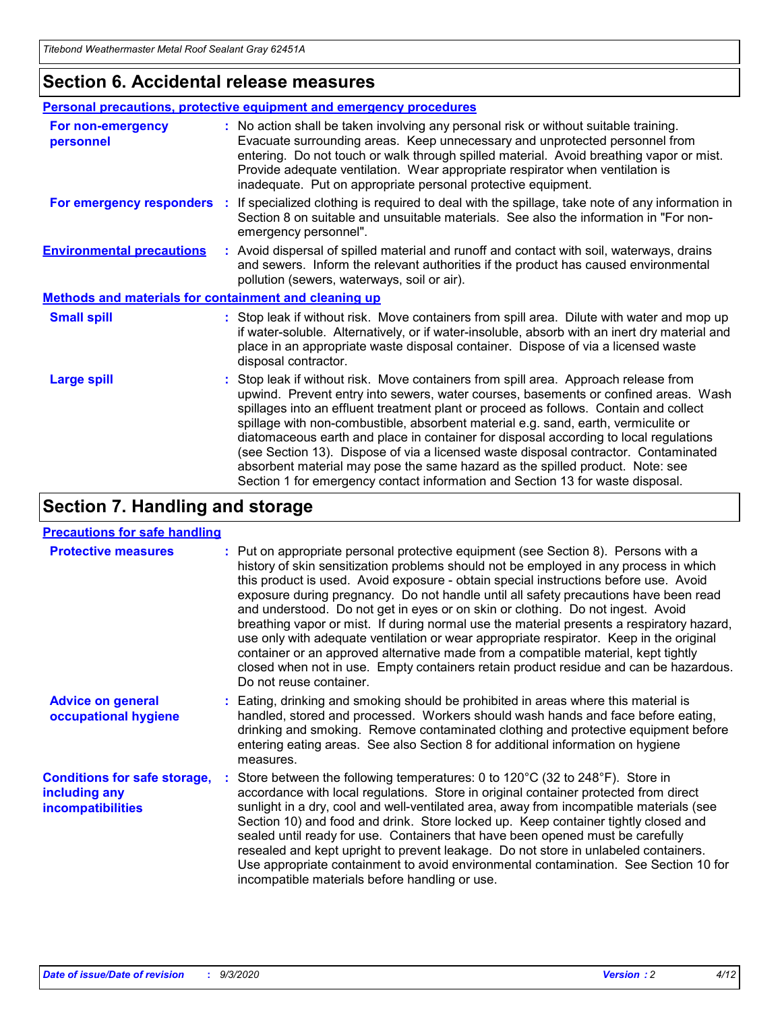### **Section 6. Accidental release measures**

|                                                              | Personal precautions, protective equipment and emergency procedures                                                                                                                                                                                                                                                                                                                                                                                                                                                                                                                                                                                                                                          |  |  |  |
|--------------------------------------------------------------|--------------------------------------------------------------------------------------------------------------------------------------------------------------------------------------------------------------------------------------------------------------------------------------------------------------------------------------------------------------------------------------------------------------------------------------------------------------------------------------------------------------------------------------------------------------------------------------------------------------------------------------------------------------------------------------------------------------|--|--|--|
| For non-emergency<br>personnel                               | : No action shall be taken involving any personal risk or without suitable training.<br>Evacuate surrounding areas. Keep unnecessary and unprotected personnel from<br>entering. Do not touch or walk through spilled material. Avoid breathing vapor or mist.<br>Provide adequate ventilation. Wear appropriate respirator when ventilation is<br>inadequate. Put on appropriate personal protective equipment.                                                                                                                                                                                                                                                                                             |  |  |  |
| For emergency responders                                     | : If specialized clothing is required to deal with the spillage, take note of any information in<br>Section 8 on suitable and unsuitable materials. See also the information in "For non-<br>emergency personnel".                                                                                                                                                                                                                                                                                                                                                                                                                                                                                           |  |  |  |
| <b>Environmental precautions</b>                             | : Avoid dispersal of spilled material and runoff and contact with soil, waterways, drains<br>and sewers. Inform the relevant authorities if the product has caused environmental<br>pollution (sewers, waterways, soil or air).                                                                                                                                                                                                                                                                                                                                                                                                                                                                              |  |  |  |
| <b>Methods and materials for containment and cleaning up</b> |                                                                                                                                                                                                                                                                                                                                                                                                                                                                                                                                                                                                                                                                                                              |  |  |  |
| <b>Small spill</b>                                           | : Stop leak if without risk. Move containers from spill area. Dilute with water and mop up<br>if water-soluble. Alternatively, or if water-insoluble, absorb with an inert dry material and<br>place in an appropriate waste disposal container. Dispose of via a licensed waste<br>disposal contractor.                                                                                                                                                                                                                                                                                                                                                                                                     |  |  |  |
| <b>Large spill</b>                                           | : Stop leak if without risk. Move containers from spill area. Approach release from<br>upwind. Prevent entry into sewers, water courses, basements or confined areas. Wash<br>spillages into an effluent treatment plant or proceed as follows. Contain and collect<br>spillage with non-combustible, absorbent material e.g. sand, earth, vermiculite or<br>diatomaceous earth and place in container for disposal according to local regulations<br>(see Section 13). Dispose of via a licensed waste disposal contractor. Contaminated<br>absorbent material may pose the same hazard as the spilled product. Note: see<br>Section 1 for emergency contact information and Section 13 for waste disposal. |  |  |  |

### **Section 7. Handling and storage**

#### **Precautions for safe handling**

| <b>Protective measures</b>                                                       | : Put on appropriate personal protective equipment (see Section 8). Persons with a<br>history of skin sensitization problems should not be employed in any process in which<br>this product is used. Avoid exposure - obtain special instructions before use. Avoid<br>exposure during pregnancy. Do not handle until all safety precautions have been read<br>and understood. Do not get in eyes or on skin or clothing. Do not ingest. Avoid<br>breathing vapor or mist. If during normal use the material presents a respiratory hazard,<br>use only with adequate ventilation or wear appropriate respirator. Keep in the original<br>container or an approved alternative made from a compatible material, kept tightly<br>closed when not in use. Empty containers retain product residue and can be hazardous.<br>Do not reuse container. |
|----------------------------------------------------------------------------------|--------------------------------------------------------------------------------------------------------------------------------------------------------------------------------------------------------------------------------------------------------------------------------------------------------------------------------------------------------------------------------------------------------------------------------------------------------------------------------------------------------------------------------------------------------------------------------------------------------------------------------------------------------------------------------------------------------------------------------------------------------------------------------------------------------------------------------------------------|
| <b>Advice on general</b><br>occupational hygiene                                 | : Eating, drinking and smoking should be prohibited in areas where this material is<br>handled, stored and processed. Workers should wash hands and face before eating,<br>drinking and smoking. Remove contaminated clothing and protective equipment before<br>entering eating areas. See also Section 8 for additional information on hygiene<br>measures.                                                                                                                                                                                                                                                                                                                                                                                                                                                                                    |
| <b>Conditions for safe storage,</b><br>including any<br><i>incompatibilities</i> | Store between the following temperatures: 0 to $120^{\circ}$ C (32 to $248^{\circ}$ F). Store in<br>accordance with local regulations. Store in original container protected from direct<br>sunlight in a dry, cool and well-ventilated area, away from incompatible materials (see<br>Section 10) and food and drink. Store locked up. Keep container tightly closed and<br>sealed until ready for use. Containers that have been opened must be carefully<br>resealed and kept upright to prevent leakage. Do not store in unlabeled containers.<br>Use appropriate containment to avoid environmental contamination. See Section 10 for<br>incompatible materials before handling or use.                                                                                                                                                     |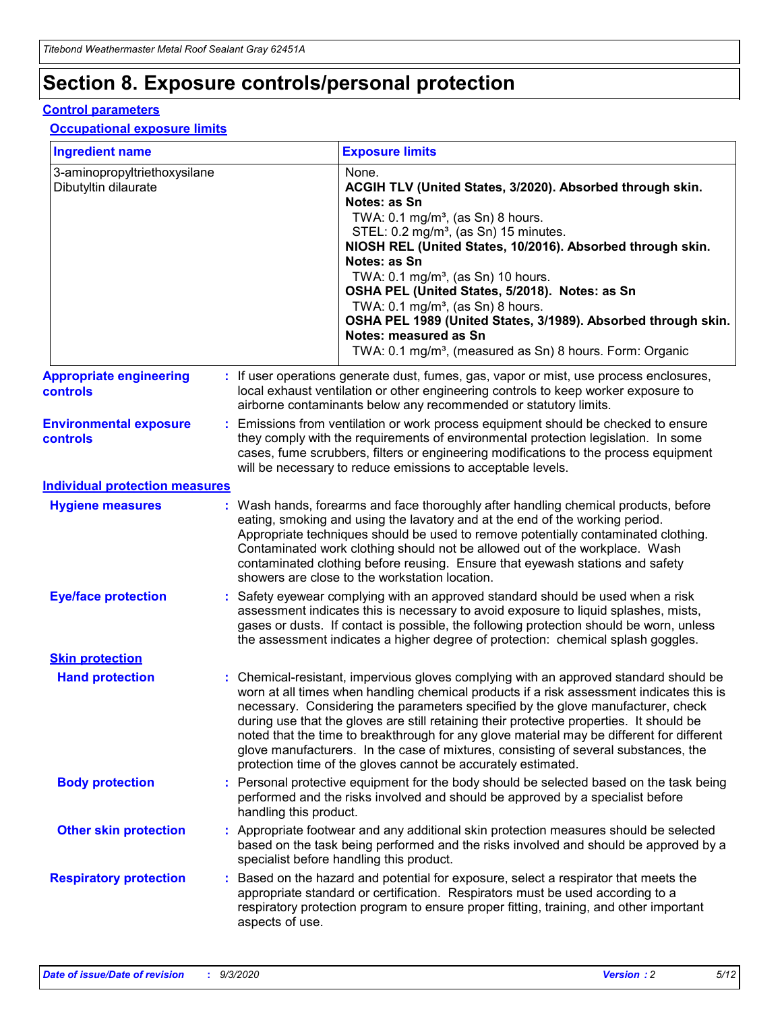# **Section 8. Exposure controls/personal protection**

#### **Control parameters**

#### **Occupational exposure limits**

| <b>Ingredient name</b>                               |    |                        | <b>Exposure limits</b>                                                                                                                                                                                                                                                                                                                                                                                                                                                                                                                                                                                                 |
|------------------------------------------------------|----|------------------------|------------------------------------------------------------------------------------------------------------------------------------------------------------------------------------------------------------------------------------------------------------------------------------------------------------------------------------------------------------------------------------------------------------------------------------------------------------------------------------------------------------------------------------------------------------------------------------------------------------------------|
| 3-aminopropyltriethoxysilane<br>Dibutyltin dilaurate |    |                        | None.<br>ACGIH TLV (United States, 3/2020). Absorbed through skin.<br>Notes: as Sn<br>TWA: $0.1 \text{ mg/m}^3$ , (as Sn) 8 hours.<br>STEL: 0.2 mg/m <sup>3</sup> , (as Sn) 15 minutes.<br>NIOSH REL (United States, 10/2016). Absorbed through skin.<br>Notes: as Sn<br>TWA: 0.1 mg/m <sup>3</sup> , (as Sn) 10 hours.<br>OSHA PEL (United States, 5/2018). Notes: as Sn<br>TWA: 0.1 mg/m <sup>3</sup> , (as Sn) 8 hours.<br>OSHA PEL 1989 (United States, 3/1989). Absorbed through skin.<br>Notes: measured as Sn<br>TWA: 0.1 mg/m <sup>3</sup> , (measured as Sn) 8 hours. Form: Organic                           |
| <b>Appropriate engineering</b><br>controls           |    |                        | : If user operations generate dust, fumes, gas, vapor or mist, use process enclosures,<br>local exhaust ventilation or other engineering controls to keep worker exposure to<br>airborne contaminants below any recommended or statutory limits.                                                                                                                                                                                                                                                                                                                                                                       |
| <b>Environmental exposure</b><br>controls            |    |                        | Emissions from ventilation or work process equipment should be checked to ensure<br>they comply with the requirements of environmental protection legislation. In some<br>cases, fume scrubbers, filters or engineering modifications to the process equipment<br>will be necessary to reduce emissions to acceptable levels.                                                                                                                                                                                                                                                                                          |
| <b>Individual protection measures</b>                |    |                        |                                                                                                                                                                                                                                                                                                                                                                                                                                                                                                                                                                                                                        |
| <b>Hygiene measures</b>                              |    |                        | : Wash hands, forearms and face thoroughly after handling chemical products, before<br>eating, smoking and using the lavatory and at the end of the working period.<br>Appropriate techniques should be used to remove potentially contaminated clothing.<br>Contaminated work clothing should not be allowed out of the workplace. Wash<br>contaminated clothing before reusing. Ensure that eyewash stations and safety<br>showers are close to the workstation location.                                                                                                                                            |
| <b>Eye/face protection</b>                           |    |                        | Safety eyewear complying with an approved standard should be used when a risk<br>assessment indicates this is necessary to avoid exposure to liquid splashes, mists,<br>gases or dusts. If contact is possible, the following protection should be worn, unless<br>the assessment indicates a higher degree of protection: chemical splash goggles.                                                                                                                                                                                                                                                                    |
| <b>Skin protection</b>                               |    |                        |                                                                                                                                                                                                                                                                                                                                                                                                                                                                                                                                                                                                                        |
| <b>Hand protection</b>                               |    |                        | : Chemical-resistant, impervious gloves complying with an approved standard should be<br>worn at all times when handling chemical products if a risk assessment indicates this is<br>necessary. Considering the parameters specified by the glove manufacturer, check<br>during use that the gloves are still retaining their protective properties. It should be<br>noted that the time to breakthrough for any glove material may be different for different<br>glove manufacturers. In the case of mixtures, consisting of several substances, the<br>protection time of the gloves cannot be accurately estimated. |
| <b>Body protection</b>                               |    | handling this product. | Personal protective equipment for the body should be selected based on the task being<br>performed and the risks involved and should be approved by a specialist before                                                                                                                                                                                                                                                                                                                                                                                                                                                |
| <b>Other skin protection</b>                         |    |                        | : Appropriate footwear and any additional skin protection measures should be selected<br>based on the task being performed and the risks involved and should be approved by a<br>specialist before handling this product.                                                                                                                                                                                                                                                                                                                                                                                              |
| <b>Respiratory protection</b>                        | ÷. | aspects of use.        | Based on the hazard and potential for exposure, select a respirator that meets the<br>appropriate standard or certification. Respirators must be used according to a<br>respiratory protection program to ensure proper fitting, training, and other important                                                                                                                                                                                                                                                                                                                                                         |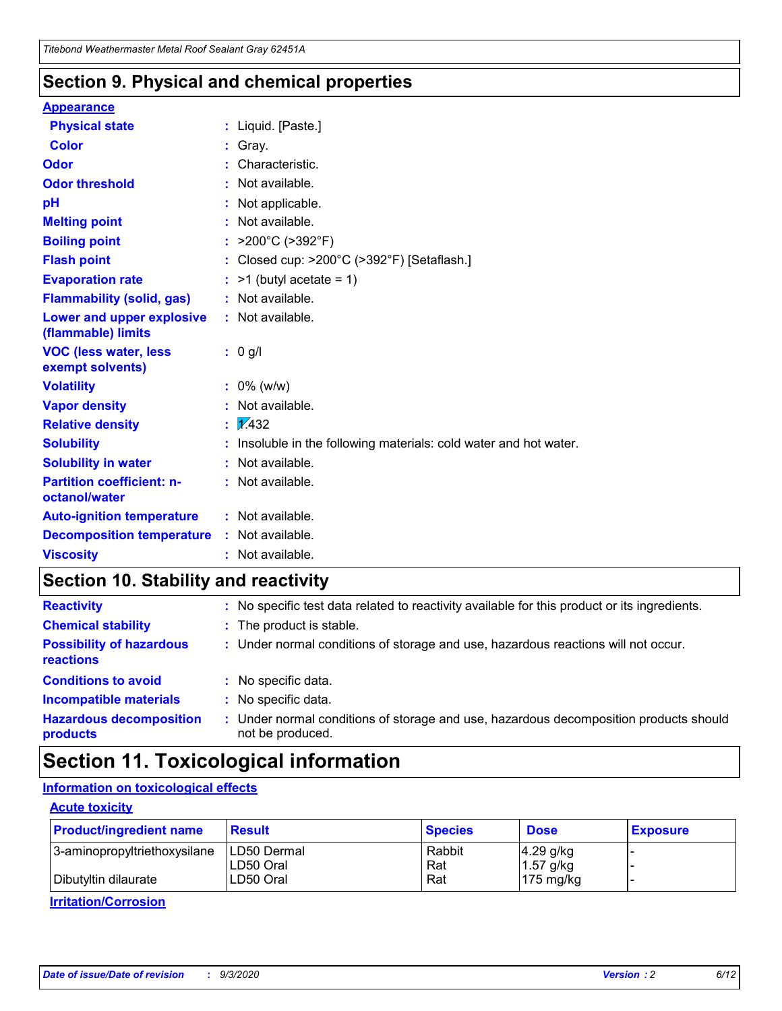### **Section 9. Physical and chemical properties**

#### **Appearance**

| <b>Physical state</b>                             | : Liquid. [Paste.]                                              |
|---------------------------------------------------|-----------------------------------------------------------------|
| <b>Color</b>                                      | Gray.                                                           |
| Odor                                              | Characteristic.                                                 |
| <b>Odor threshold</b>                             | Not available.                                                  |
| рH                                                | Not applicable.                                                 |
| <b>Melting point</b>                              | : Not available.                                                |
| <b>Boiling point</b>                              | >200°C (>392°F)                                                 |
| <b>Flash point</b>                                | Closed cup: >200°C (>392°F) [Setaflash.]                        |
| <b>Evaporation rate</b>                           | $:$ >1 (butyl acetate = 1)                                      |
| <b>Flammability (solid, gas)</b>                  | : Not available.                                                |
| Lower and upper explosive<br>(flammable) limits   | : Not available.                                                |
| <b>VOC (less water, less)</b><br>exempt solvents) | : 0 g/l                                                         |
| <b>Volatility</b>                                 | $: 0\%$ (w/w)                                                   |
| <b>Vapor density</b>                              | Not available.                                                  |
| <b>Relative density</b>                           | $\mathbf{1}$ $\mathbf{\sqrt{432}}$                              |
| <b>Solubility</b>                                 | Insoluble in the following materials: cold water and hot water. |
| <b>Solubility in water</b>                        | Not available.                                                  |
| <b>Partition coefficient: n-</b><br>octanol/water | $:$ Not available.                                              |
| <b>Auto-ignition temperature</b>                  | : Not available.                                                |
| <b>Decomposition temperature</b>                  | : Not available.                                                |
| <b>Viscosity</b>                                  | $:$ Not available.                                              |

### **Section 10. Stability and reactivity**

| <b>Reactivity</b>                            |    | : No specific test data related to reactivity available for this product or its ingredients.            |
|----------------------------------------------|----|---------------------------------------------------------------------------------------------------------|
| <b>Chemical stability</b>                    |    | : The product is stable.                                                                                |
| <b>Possibility of hazardous</b><br>reactions |    | : Under normal conditions of storage and use, hazardous reactions will not occur.                       |
| <b>Conditions to avoid</b>                   |    | : No specific data.                                                                                     |
| <b>Incompatible materials</b>                | ٠. | No specific data.                                                                                       |
| <b>Hazardous decomposition</b><br>products   | ÷. | Under normal conditions of storage and use, hazardous decomposition products should<br>not be produced. |

## **Section 11. Toxicological information**

#### **Information on toxicological effects**

#### **Acute toxicity**

| <b>Product/ingredient name</b> | <b>Result</b>           | <b>Species</b> | <b>Dose</b>                | <b>Exposure</b> |
|--------------------------------|-------------------------|----------------|----------------------------|-----------------|
| 3-aminopropyltriethoxysilane   | <b>ILD50 Dermal</b>     | Rabbit         | 4.29 g/kg                  |                 |
| Dibutyltin dilaurate           | ILD50 Oral<br>LD50 Oral | Rat<br>Rat     | $1.57$ g/kg<br>175 $mg/kg$ |                 |
|                                |                         |                |                            |                 |

**Irritation/Corrosion**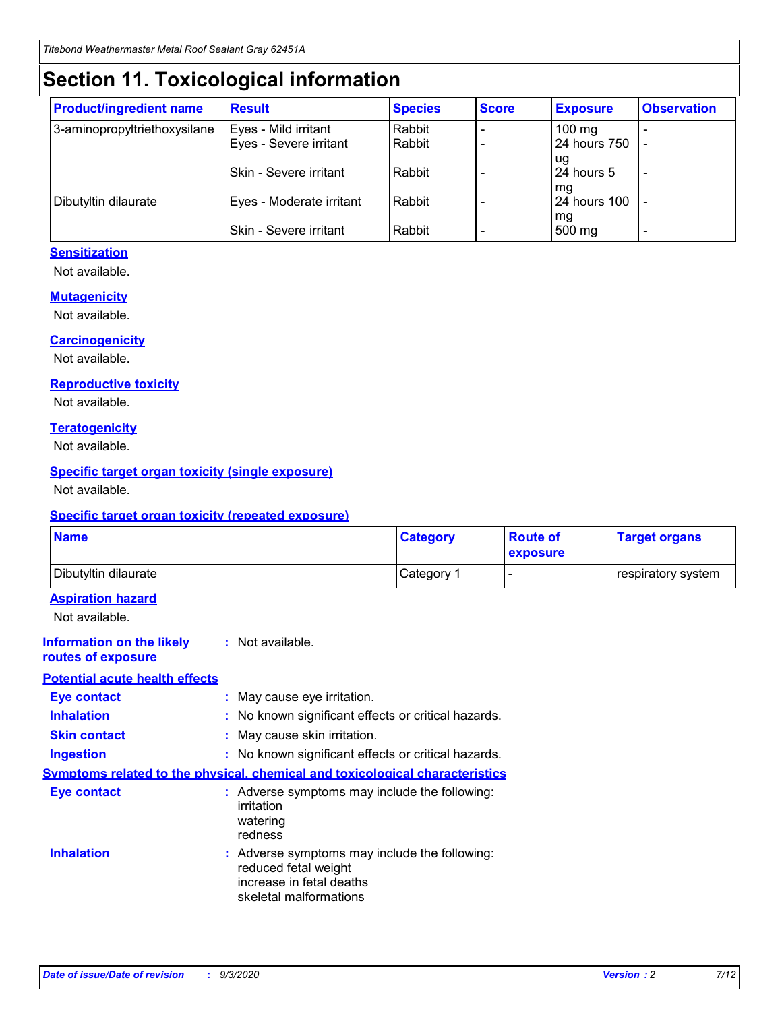# **Section 11. Toxicological information**

| <b>Product/ingredient name</b> | <b>Result</b>            | <b>Species</b> | <b>Score</b> | <b>Exposure</b>    | <b>Observation</b> |
|--------------------------------|--------------------------|----------------|--------------|--------------------|--------------------|
| 3-aminopropyltriethoxysilane   | Eyes - Mild irritant     | Rabbit         |              | $100$ mg           |                    |
|                                | Eyes - Severe irritant   | Rabbit         |              | 24 hours 750       |                    |
|                                |                          |                |              | ug                 |                    |
|                                | Skin - Severe irritant   | Rabbit         |              | 24 hours 5         | -                  |
| Dibutyltin dilaurate           | Eyes - Moderate irritant | Rabbit         |              | mg<br>24 hours 100 |                    |
|                                |                          |                |              | mg                 |                    |
|                                | Skin - Severe irritant   | Rabbit         |              | 500 mg             | -                  |

#### **Sensitization**

Not available.

#### **Mutagenicity**

Not available.

#### **Carcinogenicity**

Not available.

#### **Reproductive toxicity**

Not available.

#### **Teratogenicity**

Not available.

#### **Specific target organ toxicity (single exposure)**

Not available.

#### **Specific target organ toxicity (repeated exposure)**

| <b>Name</b>                                                                  |                                                                                                                             | <b>Category</b>                                     | <b>Route of</b><br>exposure | <b>Target organs</b> |  |  |
|------------------------------------------------------------------------------|-----------------------------------------------------------------------------------------------------------------------------|-----------------------------------------------------|-----------------------------|----------------------|--|--|
| Dibutyltin dilaurate                                                         |                                                                                                                             | Category 1                                          |                             | respiratory system   |  |  |
| <b>Aspiration hazard</b><br>Not available.                                   |                                                                                                                             |                                                     |                             |                      |  |  |
| <b>Information on the likely</b><br>routes of exposure                       | : Not available.                                                                                                            |                                                     |                             |                      |  |  |
| <b>Potential acute health effects</b>                                        |                                                                                                                             |                                                     |                             |                      |  |  |
| <b>Eye contact</b>                                                           | : May cause eye irritation.                                                                                                 |                                                     |                             |                      |  |  |
| <b>Inhalation</b>                                                            |                                                                                                                             | : No known significant effects or critical hazards. |                             |                      |  |  |
| <b>Skin contact</b>                                                          |                                                                                                                             | : May cause skin irritation.                        |                             |                      |  |  |
| <b>Ingestion</b>                                                             | : No known significant effects or critical hazards.                                                                         |                                                     |                             |                      |  |  |
| Symptoms related to the physical, chemical and toxicological characteristics |                                                                                                                             |                                                     |                             |                      |  |  |
| <b>Eye contact</b>                                                           | : Adverse symptoms may include the following:<br>irritation<br>watering<br>redness                                          |                                                     |                             |                      |  |  |
| <b>Inhalation</b>                                                            | : Adverse symptoms may include the following:<br>reduced fetal weight<br>increase in fetal deaths<br>skeletal malformations |                                                     |                             |                      |  |  |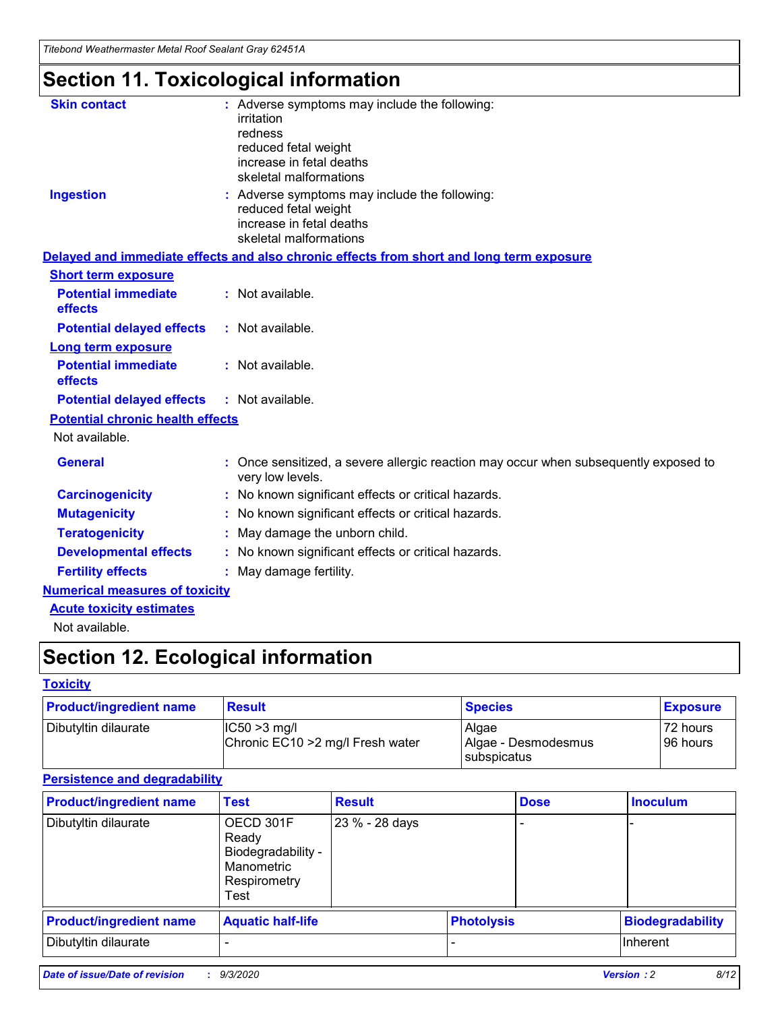*Titebond Weathermaster Metal Roof Sealant Gray 62451A*

# **Section 11. Toxicological information**

| <b>Skin contact</b>                     | : Adverse symptoms may include the following:<br>irritation                                            |
|-----------------------------------------|--------------------------------------------------------------------------------------------------------|
|                                         | redness                                                                                                |
|                                         | reduced fetal weight                                                                                   |
|                                         | increase in fetal deaths                                                                               |
|                                         | skeletal malformations                                                                                 |
| <b>Ingestion</b>                        | : Adverse symptoms may include the following:<br>reduced fetal weight                                  |
|                                         | increase in fetal deaths                                                                               |
|                                         | skeletal malformations                                                                                 |
|                                         | Delayed and immediate effects and also chronic effects from short and long term exposure               |
| <b>Short term exposure</b>              |                                                                                                        |
| <b>Potential immediate</b><br>effects   | : Not available.                                                                                       |
| <b>Potential delayed effects</b>        | : Not available.                                                                                       |
| <b>Long term exposure</b>               |                                                                                                        |
| <b>Potential immediate</b><br>effects   | : Not available.                                                                                       |
| <b>Potential delayed effects</b>        | : Not available.                                                                                       |
| <b>Potential chronic health effects</b> |                                                                                                        |
| Not available.                          |                                                                                                        |
| <b>General</b>                          | Once sensitized, a severe allergic reaction may occur when subsequently exposed to<br>very low levels. |
| <b>Carcinogenicity</b>                  | No known significant effects or critical hazards.                                                      |
| <b>Mutagenicity</b>                     | : No known significant effects or critical hazards.                                                    |
| <b>Teratogenicity</b>                   | May damage the unborn child.                                                                           |
| <b>Developmental effects</b>            | : No known significant effects or critical hazards.                                                    |
| <b>Fertility effects</b>                | : May damage fertility.                                                                                |
| <b>Numerical measures of toxicity</b>   |                                                                                                        |
| <b>Acute toxicity estimates</b>         |                                                                                                        |
| Not ovoilable                           |                                                                                                        |

Not available.

# **Section 12. Ecological information**

#### **Toxicity**

| <b>Product/ingredient name</b> | <b>Result</b>                                       | <b>Species</b>               | <b>Exposure</b>       |
|--------------------------------|-----------------------------------------------------|------------------------------|-----------------------|
| Dibutyltin dilaurate           | $ CC50>3$ mg/l<br>Chronic EC10 > 2 mg/l Fresh water | Algae<br>Algae - Desmodesmus | 72 hours<br>196 hours |
|                                |                                                     | <b>I</b> subspicatus         |                       |

#### **Persistence and degradability**

| <b>Product/ingredient name</b> | <b>Test</b>                                                                    | <b>Result</b>  |                   | <b>Dose</b> | <b>Inoculum</b>         |
|--------------------------------|--------------------------------------------------------------------------------|----------------|-------------------|-------------|-------------------------|
| Dibutyltin dilaurate           | OECD 301F<br>Ready<br>Biodegradability -<br>Manometric<br>Respirometry<br>Test | 23 % - 28 days |                   |             |                         |
| <b>Product/ingredient name</b> | <b>Aquatic half-life</b>                                                       |                | <b>Photolysis</b> |             | <b>Biodegradability</b> |
| Dibutyltin dilaurate           |                                                                                |                |                   |             | <b>Inherent</b>         |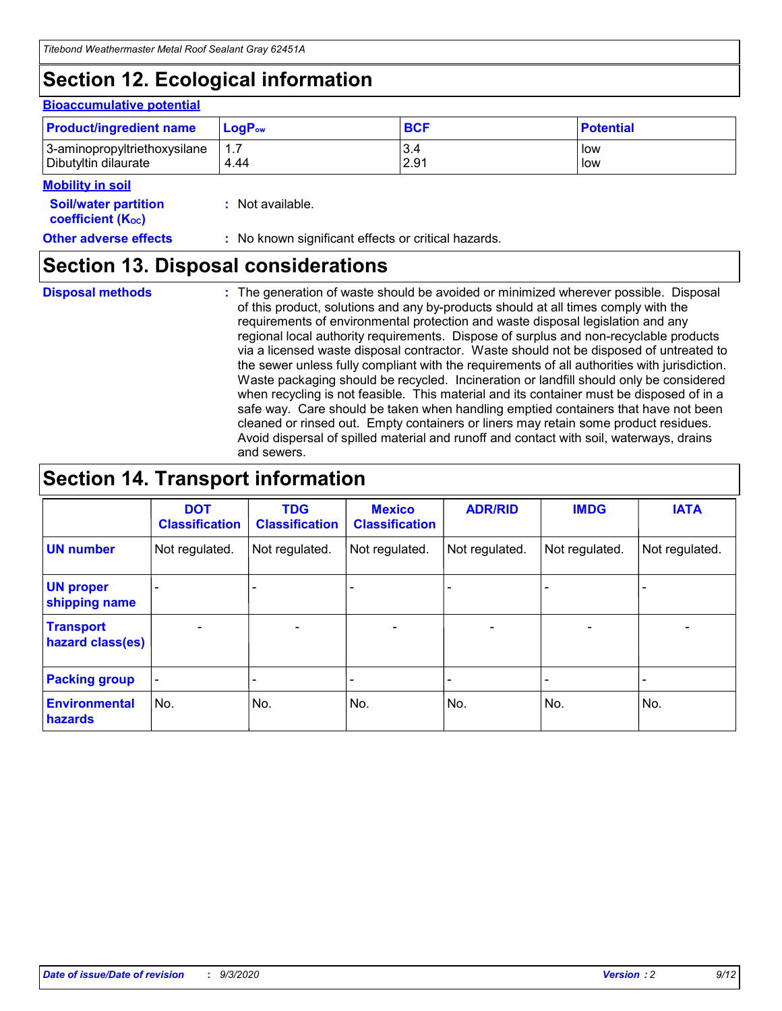# **Section 12. Ecological information**

#### **Bioaccumulative potential**

| <b>Product/ingredient name</b> | <b>LogP</b> <sub>ow</sub> | <b>BCF</b> | <b>Potential</b> |
|--------------------------------|---------------------------|------------|------------------|
| 3-aminopropyltriethoxysilane   | 4.44                      | 3.4        | low              |
| Dibutyltin dilaurate           |                           | 2.91       | low              |

#### **Mobility in soil**

| <b>Soil/water partition</b> | : Not available. |
|-----------------------------|------------------|
| <b>coefficient (Koc)</b>    |                  |

**Other adverse effects** : No known significant effects or critical hazards.

### **Section 13. Disposal considerations**

**Disposal methods :**

The generation of waste should be avoided or minimized wherever possible. Disposal of this product, solutions and any by-products should at all times comply with the requirements of environmental protection and waste disposal legislation and any regional local authority requirements. Dispose of surplus and non-recyclable products via a licensed waste disposal contractor. Waste should not be disposed of untreated to the sewer unless fully compliant with the requirements of all authorities with jurisdiction. Waste packaging should be recycled. Incineration or landfill should only be considered when recycling is not feasible. This material and its container must be disposed of in a safe way. Care should be taken when handling emptied containers that have not been cleaned or rinsed out. Empty containers or liners may retain some product residues. Avoid dispersal of spilled material and runoff and contact with soil, waterways, drains and sewers.

### **Section 14. Transport information**

|                                      | <b>DOT</b><br><b>Classification</b> | <b>TDG</b><br><b>Classification</b> | <b>Mexico</b><br><b>Classification</b> | <b>ADR/RID</b>               | <b>IMDG</b>              | <b>IATA</b>    |
|--------------------------------------|-------------------------------------|-------------------------------------|----------------------------------------|------------------------------|--------------------------|----------------|
| <b>UN number</b>                     | Not regulated.                      | Not regulated.                      | Not regulated.                         | Not regulated.               | Not regulated.           | Not regulated. |
| <b>UN proper</b><br>shipping name    |                                     |                                     |                                        |                              |                          |                |
| <b>Transport</b><br>hazard class(es) | $\overline{\phantom{m}}$            | $\overline{\phantom{0}}$            | $\qquad \qquad$                        | $\qquad \qquad \blacksquare$ | $\overline{\phantom{0}}$ |                |
| <b>Packing group</b>                 | -                                   |                                     |                                        |                              |                          |                |
| <b>Environmental</b><br>hazards      | No.                                 | No.                                 | No.                                    | No.                          | No.                      | No.            |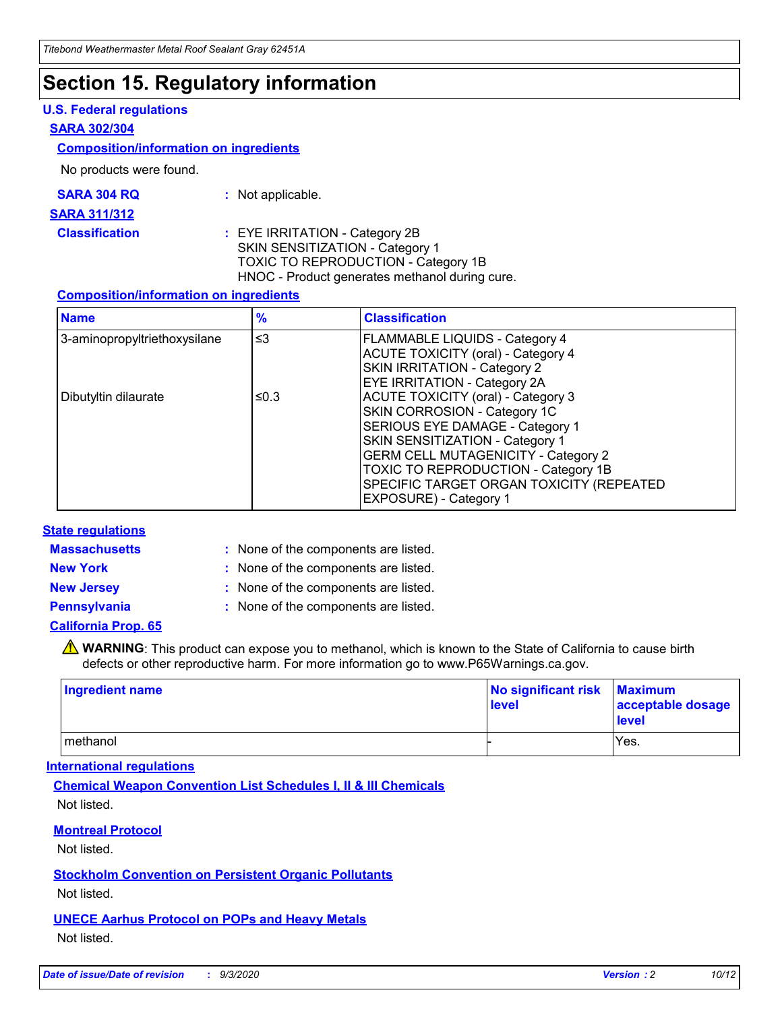### **Section 15. Regulatory information**

#### **U.S. Federal regulations**

#### **SARA 302/304**

#### **Composition/information on ingredients**

No products were found.

| SARA 304 RQ | Not applicable. |
|-------------|-----------------|
|-------------|-----------------|

#### **SARA 311/312**

**Classification :** EYE IRRITATION - Category 2B SKIN SENSITIZATION - Category 1 TOXIC TO REPRODUCTION - Category 1B HNOC - Product generates methanol during cure.

#### **Composition/information on ingredients**

| <b>Name</b>                  | $\frac{9}{6}$ | <b>Classification</b>                                                                                                                                                                                                                                                                                      |
|------------------------------|---------------|------------------------------------------------------------------------------------------------------------------------------------------------------------------------------------------------------------------------------------------------------------------------------------------------------------|
| 3-aminopropyltriethoxysilane | $\leq$ 3      | <b>FLAMMABLE LIQUIDS - Category 4</b><br><b>ACUTE TOXICITY (oral) - Category 4</b><br><b>SKIN IRRITATION - Category 2</b><br>EYE IRRITATION - Category 2A                                                                                                                                                  |
| Dibutyltin dilaurate         | ≤0.3          | <b>ACUTE TOXICITY (oral) - Category 3</b><br>SKIN CORROSION - Category 1C<br>SERIOUS EYE DAMAGE - Category 1<br>SKIN SENSITIZATION - Category 1<br><b>GERM CELL MUTAGENICITY - Category 2</b><br>TOXIC TO REPRODUCTION - Category 1B<br>SPECIFIC TARGET ORGAN TOXICITY (REPEATED<br>EXPOSURE) - Category 1 |

#### **State regulations**

**Massachusetts :**

: None of the components are listed.

**New York :** None of the components are listed. **New Jersey :** None of the components are listed.

**Pennsylvania :** None of the components are listed.

#### **California Prop. 65**

WARNING: This product can expose you to methanol, which is known to the State of California to cause birth defects or other reproductive harm. For more information go to www.P65Warnings.ca.gov.

| Ingredient name | No significant risk Maximum<br>level | acceptable dosage<br><b>level</b> |
|-----------------|--------------------------------------|-----------------------------------|
| I methanol      |                                      | Yes.                              |

#### **International regulations**

**Chemical Weapon Convention List Schedules I, II & III Chemicals** Not listed.

#### **Montreal Protocol**

Not listed.

**Stockholm Convention on Persistent Organic Pollutants**

Not listed.

#### **UNECE Aarhus Protocol on POPs and Heavy Metals** Not listed.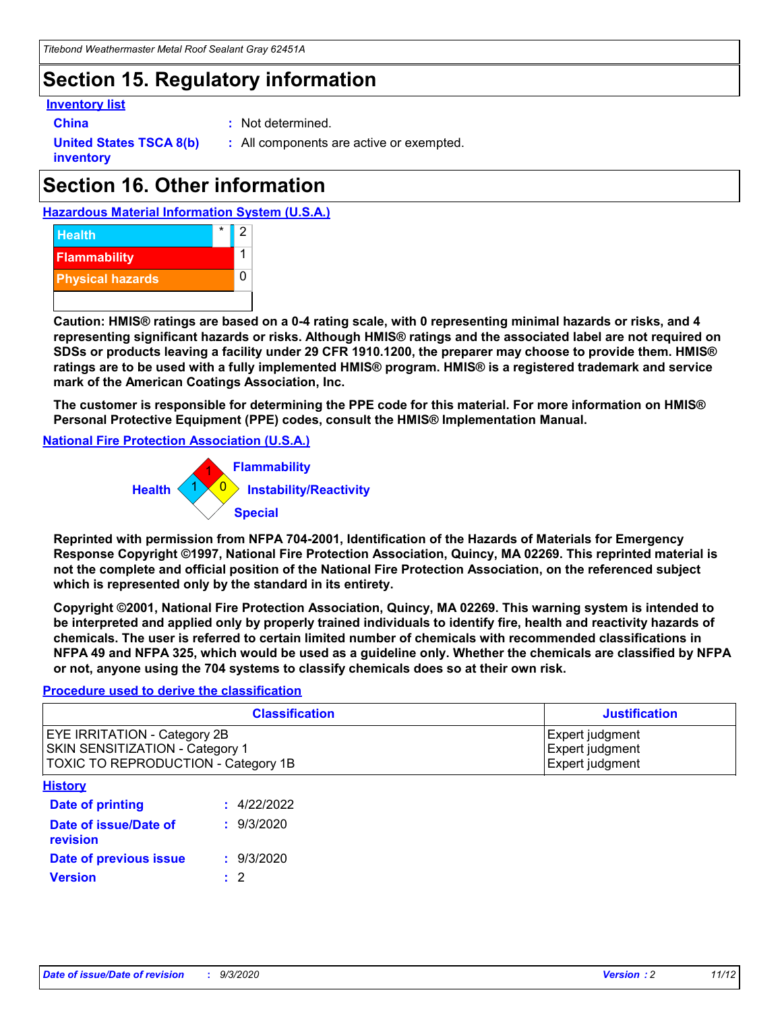### **Section 15. Regulatory information**

#### **Inventory list**

- 
- **China :** Not determined.

**United States TSCA 8(b) inventory**

**:** All components are active or exempted.

# **Section 16. Other information**





**Caution: HMIS® ratings are based on a 0-4 rating scale, with 0 representing minimal hazards or risks, and 4 representing significant hazards or risks. Although HMIS® ratings and the associated label are not required on SDSs or products leaving a facility under 29 CFR 1910.1200, the preparer may choose to provide them. HMIS® ratings are to be used with a fully implemented HMIS® program. HMIS® is a registered trademark and service mark of the American Coatings Association, Inc.**

**The customer is responsible for determining the PPE code for this material. For more information on HMIS® Personal Protective Equipment (PPE) codes, consult the HMIS® Implementation Manual.**

**National Fire Protection Association (U.S.A.)**



**Reprinted with permission from NFPA 704-2001, Identification of the Hazards of Materials for Emergency Response Copyright ©1997, National Fire Protection Association, Quincy, MA 02269. This reprinted material is not the complete and official position of the National Fire Protection Association, on the referenced subject which is represented only by the standard in its entirety.**

**Copyright ©2001, National Fire Protection Association, Quincy, MA 02269. This warning system is intended to be interpreted and applied only by properly trained individuals to identify fire, health and reactivity hazards of chemicals. The user is referred to certain limited number of chemicals with recommended classifications in NFPA 49 and NFPA 325, which would be used as a guideline only. Whether the chemicals are classified by NFPA or not, anyone using the 704 systems to classify chemicals does so at their own risk.**

#### **Procedure used to derive the classification**

| <b>Classification</b>                                                                                         | <b>Justification</b>                                  |
|---------------------------------------------------------------------------------------------------------------|-------------------------------------------------------|
| <b>EYE IRRITATION - Category 2B</b><br>SKIN SENSITIZATION - Category 1<br>TOXIC TO REPRODUCTION - Category 1B | Expert judgment<br>Expert judgment<br>Expert judgment |
| <b>History</b>                                                                                                |                                                       |

| .                                 |             |
|-----------------------------------|-------------|
| Date of printing                  | : 4/22/2022 |
| Date of issue/Date of<br>revision | : 9/3/2020  |
| Date of previous issue            | : 9/3/2020  |
| <b>Version</b>                    | $\cdot$ 2   |
|                                   |             |